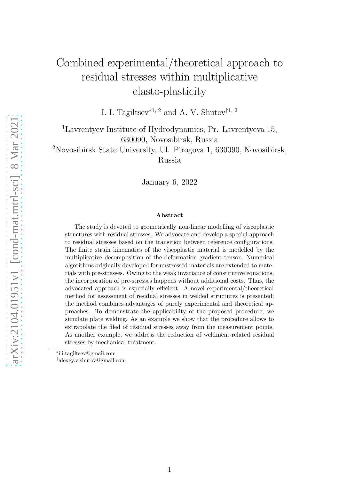# Combined experimental/theoretical approach to residual stresses within multiplicative elasto-plasticity

I. I. Tagiltsev<sup>∗1, 2</sup> and A. V. Shutov<sup>†1, 2</sup>

<sup>1</sup>Lavrentyev Institute of Hydrodynamics, Pr. Lavrentyeva 15, 630090, Novosibirsk, Russia

<sup>2</sup>Novosibirsk State University, Ul. Pirogova 1, 630090, Novosibirsk, Russia

January 6, 2022

#### Abstract

The study is devoted to geometrically non-linear modelling of viscoplastic structures with residual stresses. We advocate and develop a special approach to residual stresses based on the transition between reference configurations. The finite strain kinematics of the viscoplastic material is modelled by the multiplicative decomposition of the deformation gradient tensor. Numerical algorithms originally developed for unstressed materials are extended to materials with pre-stresses. Owing to the weak invariance of constitutive equations, the incorporation of pre-stresses happens without additional costs. Thus, the advocated approach is especially efficient. A novel experimental/theoretical method for assessment of residual stresses in welded structures is presented; the method combines advantages of purely experimental and theoretical approaches. To demonstrate the applicability of the proposed procedure, we simulate plate welding. As an example we show that the procedure allows to extrapolate the filed of residual stresses away from the measurement points. As another example, we address the reduction of weldment-related residual stresses by mechanical treatment.

<sup>∗</sup> i.i.tagiltsev@gmail.com

<sup>†</sup>alexey.v.shutov@gmail.com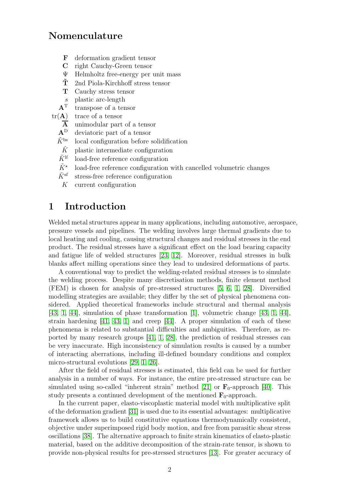# Nomenculature

- F deformation gradient tensor
- C right Cauchy-Green tensor
- Ψ Helmholtz free-energy per unit mass
- $\tilde{T}$  2nd Piola-Kirchhoff stress tensor
- T Cauchy stress tensor
- s plastic arc-length
- $A<sup>T</sup>$  transpose of a tensor
- $tr(A)$  trace of a tensor
	- $\overline{A}$  unimodular part of a tensor
	- A<sup>D</sup> deviatoric part of a tensor
	- $\tilde{K}^{\text{bs}}$  local configuration before solidification
	- $\tilde{K}$  plastic intermediate configuration
	- $\tilde{K}^{\text{lf}}$  load-free reference configuration
	- $\tilde{K}^{\star}$ load-free reference configuration with cancelled volumetric changes
	- $\tilde{K}^{\text{sf}}$  stress-free reference configuration
	- K current configuration

# 1 Introduction

Welded metal structures appear in many applications, including automotive, aerospace, pressure vessels and pipelines. The welding involves large thermal gradients due to local heating and cooling, causing structural changes and residual stresses in the end product. The residual stresses have a significant effect on the load bearing capacity and fatigue life of welded structures [\[23,](#page-17-0) [12\]](#page-16-0). Moreover, residual stresses in bulk blanks affect milling operations since they lead to undesired deformations of parts.

A conventional way to predict the welding-related residual stresses is to simulate the welding process. Despite many discretisation methods, finite element method (FEM) is chosen for analysis of pre-stressed structures [\[5,](#page-16-1) [6,](#page-16-2) [1,](#page-16-3) [28\]](#page-18-0). Diversified modelling strategies are available; they differ by the set of physical phenomena considered. Applied theoretical frameworks include structural and thermal analysis [\[43,](#page-19-0) [1,](#page-16-3) [44\]](#page-19-1), simulation of phase transformation [\[1\]](#page-16-3), volumetric change [\[43,](#page-19-0) [1,](#page-16-3) [44\]](#page-19-1), strain hardening [\[41,](#page-19-2) [43,](#page-19-0) [1\]](#page-16-3) and creep [\[44\]](#page-19-1). A proper simulation of each of these phenomena is related to substantial difficulties and ambiguities. Therefore, as reported by many research groups [\[41,](#page-19-2) [1,](#page-16-3) [28\]](#page-18-0), the prediction of residual stresses can be very inaccurate. High inconsistency of simulation results is caused by a number of interacting aberrations, including ill-defined boundary conditions and complex micro-structural evolutions [\[29,](#page-18-1) [1,](#page-16-3) [26\]](#page-17-1).

After the field of residual stresses is estimated, this field can be used for further analysis in a number of ways. For instance, the entire pre-stressed structure can be simulated using so-called "inherent strain" method [\[21\]](#page-17-2) or  $\mathbf{F}_0$ -approach [\[40\]](#page-18-2). This study presents a continued development of the mentioned  $\mathbf{F}_0$ -approach.

In the current paper, elasto-viscoplastic material model with multiplicative split of the deformation gradient [\[31\]](#page-18-3) is used due to its essential advantages: multiplicative framework allows us to build constitutive equations thermodynamically consistent, objective under superimposed rigid body motion, and free from parasitic shear stress oscillations [\[38\]](#page-18-4). The alternative approach to finite strain kinematics of elasto-plastic material, based on the additive decomposition of the strain-rate tensor, is shown to provide non-physical results for pre-stressed structures [\[13\]](#page-17-3). For greater accuracy of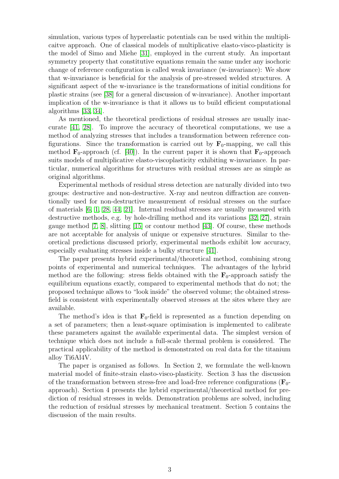simulation, various types of hyperelastic potentials can be used within the multiplicaitve approach. One of classical models of multiplicative elasto-visco-plasticity is the model of Simo and Miehe [\[31\]](#page-18-3), employed in the current study. An important symmetry property that constitutive equations remain the same under any isochoric change of reference configuration is called weak invariance (w-invariance): We show that w-invariance is beneficial for the analysis of pre-stressed welded structures. A significant aspect of the w-invariance is the transformations of initial conditions for plastic strains (see [\[38\]](#page-18-4) for a general discussion of w-invariance). Another important implication of the w-invariance is that it allows us to build efficient computational algorithms [\[33,](#page-18-5) [34\]](#page-18-6).

As mentioned, the theoretical predictions of residual stresses are usually inaccurate [\[41,](#page-19-2) [28\]](#page-18-0). To improve the accuracy of theoretical computations, we use a method of analyzing stresses that includes a transformation between reference configurations. Since the transformation is carried out by  $\mathbf{F}_0$ -mapping, we call this method  $\mathbf{F}_0$ -approach (cf. [\[40\]](#page-18-2)). In the current paper it is shown that  $\mathbf{F}_0$ -approach suits models of multiplicative elasto-viscoplasticity exhibiting w-invariance. In particular, numerical algorithms for structures with residual stresses are as simple as original algorithms.

Experimental methods of residual stress detection are naturally divided into two groups: destructive and non-destructive. X-ray and neutron diffraction are conventionally used for non-destructive measurement of residual stresses on the surface of materials [\[6,](#page-16-2) [1,](#page-16-3) [28,](#page-18-0) [44,](#page-19-1) [21\]](#page-17-2). Internal residual stresses are usually measured with destructive methods, e.g. by hole-drilling method and its variations [\[32,](#page-18-7) [27\]](#page-18-8), strain gauge method [\[7,](#page-16-4) [8\]](#page-16-5), slitting [\[15\]](#page-17-4) or contour method [\[43\]](#page-19-0). Of course, these methods are not acceptable for analysis of unique or expensive structures. Similar to theoretical predictions discussed priorly, experimental methods exhibit low accuracy, especially evaluating stresses inside a bulky structure [\[41\]](#page-19-2).

The paper presents hybrid experimental/theoretical method, combining strong points of experimental and numerical techniques. The advantages of the hybrid method are the following: stress fields obtained with the  $\mathbf{F}_0$ -approach satisfy the equilibrium equations exactly, compared to experimental methods that do not; the proposed technique allows to "look inside" the observed volume; the obtained stressfield is consistent with experimentally observed stresses at the sites where they are available.

The method's idea is that  $\mathbf{F}_0$ -field is represented as a function depending on a set of parameters; then a least-square optimisation is implemented to calibrate these parameters against the available experimental data. The simplest version of technique which does not include a full-scale thermal problem is considered. The practical applicability of the method is demonstrated on real data for the titanium alloy Ti6Al4V.

The paper is organised as follows. In Section 2, we formulate the well-known material model of finite-strain elasto-visco-plasticity. Section 3 has the discussion of the transformation between stress-free and load-free reference configurations  $(\mathbf{F}_0$ approach). Section 4 presents the hybrid experimental/theoretical method for prediction of residual stresses in welds. Demonstration problems are solved, including the reduction of residual stresses by mechanical treatment. Section 5 contains the discussion of the main results.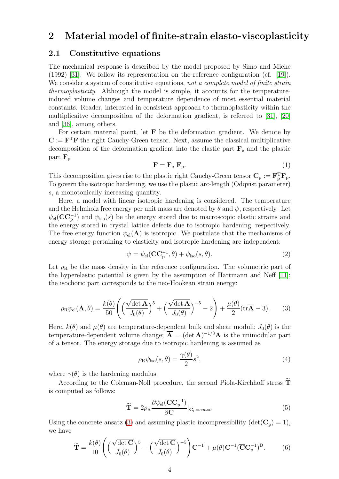# 2 Material model of finite-strain elasto-viscoplasticity

### 2.1 Constitutive equations

The mechanical response is described by the model proposed by Simo and Miehe (1992) [\[31\]](#page-18-3). We follow its representation on the reference configuration (cf. [\[19\]](#page-17-5)). We consider a system of constitutive equations, not a complete model of finite strain thermoplasticity. Although the model is simple, it accounts for the temperatureinduced volume changes and temperature dependence of most essential material constants. Reader, interested in consistent approach to thermoplasticity within the multiplicaitve decomposition of the deformation gradient, is referred to [\[31\]](#page-18-3), [\[20\]](#page-17-6) and [\[36\]](#page-18-9), among others.

For certain material point, let  $\bf{F}$  be the deformation gradient. We denote by  $C := F^T F$  the right Cauchy-Green tensor. Next, assume the classical multiplicative decomposition of the deformation gradient into the elastic part  $\mathbf{F}_{e}$  and the plastic part  $\mathbf{F}_{\rm p}$ 

$$
\mathbf{F} = \mathbf{F}_{\mathrm{e}} \ \mathbf{F}_{\mathrm{p}}.\tag{1}
$$

This decomposition gives rise to the plastic right Cauchy-Green tensor  $\mathbf{C}_{\mathrm{p}} := \mathbf{F}_{\mathrm{p}}^{\mathrm{T}} \mathbf{F}_{\mathrm{p}}$ . To govern the isotropic hardening, we use the plastic arc-length (Odqvist parameter) s, a monotonically increasing quantity.

Here, a model with linear isotropic hardening is considered. The temperature and the Helmholz free energy per unit mass are denoted by  $\theta$  and  $\psi$ , respectively. Let  $\psi_{\text{el}}(\text{CC}_{p}^{-1})$  and  $\psi_{\text{iso}}(s)$  be the energy stored due to macroscopic elastic strains and the energy stored in crystal lattice defects due to isotropic hardening, respectively. The free energy function  $\psi_{el}(A)$  is isotropic. We postulate that the mechanisms of energy storage pertaining to elasticity and isotropic hardening are independent:

$$
\psi = \psi_{\rm el}(\mathbf{CC}_{\rm p}^{-1}, \theta) + \psi_{\rm iso}(s, \theta). \tag{2}
$$

Let  $\rho_R$  be the mass density in the reference configuration. The volumetric part of the hyperelastic potential is given by the assumption of Hartmann and Neff [\[11\]](#page-16-6); the isochoric part corresponds to the neo-Hookean strain energy:

<span id="page-3-0"></span>
$$
\rho_{\rm R}\psi_{\rm el}(\mathbf{A},\theta) = \frac{k(\theta)}{50} \left( \left( \frac{\sqrt{\det \mathbf{A}}}{J_0(\theta)} \right)^5 + \left( \frac{\sqrt{\det \mathbf{A}}}{J_0(\theta)} \right)^{-5} - 2 \right) + \frac{\mu(\theta)}{2} (\text{tr}\overline{\mathbf{A}} - 3). \tag{3}
$$

Here,  $k(\theta)$  and  $\mu(\theta)$  are temperature-dependent bulk and shear moduli;  $J_0(\theta)$  is the temperature-dependent volume change;  $\overline{A} = (\det A)^{-1/3}A$  is the unimodular part of a tensor. The energy storage due to isotropic hardening is assumed as

$$
\rho_{\rm R}\psi_{\rm iso}(s,\theta) = \frac{\gamma(\theta)}{2}s^2,\tag{4}
$$

where  $\gamma(\theta)$  is the hardening modulus.

According to the Coleman-Noll procedure, the second Piola-Kirchhoff stress  $\tilde{T}$ is computed as follows:

$$
\widetilde{\mathbf{T}} = 2\rho_{\mathrm{R}} \frac{\partial \psi_{\mathrm{el}}(\mathbf{C}\mathbf{C}_{\mathrm{p}}^{-1})}{\partial \mathbf{C}}|_{\mathbf{C}_{\mathrm{p}=const}}.
$$
\n(5)

Using the concrete ansatz [\(3\)](#page-3-0) and assuming plastic incompressibility  $(\det(\mathbf{C}_{\mathrm{p}}) = 1)$ , we have

$$
\widetilde{\mathbf{T}} = \frac{k(\theta)}{10} \left( \left( \frac{\sqrt{\det \mathbf{C}}}{J_0(\theta)} \right)^5 - \left( \frac{\sqrt{\det \mathbf{C}}}{J_0(\theta)} \right)^{-5} \right) \mathbf{C}^{-1} + \mu(\theta) \mathbf{C}^{-1} (\overline{\mathbf{C}} \mathbf{C}_{p}^{-1})^D.
$$
 (6)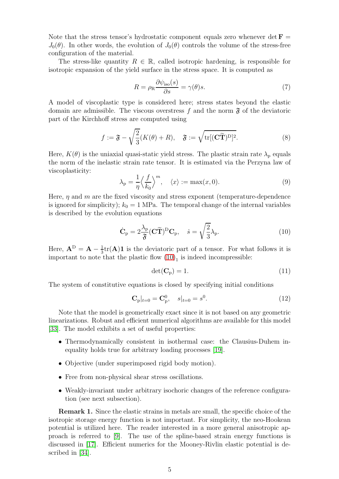Note that the stress tensor's hydrostatic component equals zero whenever det  $\mathbf{F} =$  $J_0(\theta)$ . In other words, the evolution of  $J_0(\theta)$  controls the volume of the stress-free configuration of the material.

The stress-like quantity  $R \in \mathbb{R}$ , called isotropic hardening, is responsible for isotropic expansion of the yield surface in the stress space. It is computed as

$$
R = \rho_{\rm R} \frac{\partial \psi_{\rm iso}(s)}{\partial s} = \gamma(\theta)s. \tag{7}
$$

A model of viscoplastic type is considered here; stress states beyond the elastic domain are admissible. The viscous overstress f and the norm  $\mathfrak F$  of the deviatoric part of the Kirchhoff stress are computed using

$$
f := \mathfrak{F} - \sqrt{\frac{2}{3}}(K(\theta) + R), \quad \mathfrak{F} := \sqrt{\text{tr}[(\mathbf{C}\widetilde{\mathbf{T}})^D]^2}.
$$
 (8)

Here,  $K(\theta)$  is the uniaxial quasi-static yield stress. The plastic strain rate  $\lambda_{\rm p}$  equals the norm of the inelastic strain rate tensor. It is estimated via the Perzyna law of viscoplasticity:

$$
\lambda_{\mathbf{p}} = \frac{1}{\eta} \left\langle \frac{f}{k_0} \right\rangle^m, \quad \langle x \rangle := \max(x, 0). \tag{9}
$$

Here,  $\eta$  and  $m$  are the fixed viscosity and stress exponent (temperature-dependence is ignored for simplicity);  $k_0 = 1$  MPa. The temporal change of the internal variables is described by the evolution equations

<span id="page-4-0"></span>
$$
\dot{\mathbf{C}}_{\mathbf{p}} = 2\frac{\lambda_{\mathbf{p}}}{\mathfrak{F}} (\mathbf{C}\widetilde{\mathbf{T}})^{\mathbf{D}} \mathbf{C}_{\mathbf{p}}, \quad \dot{s} = \sqrt{\frac{2}{3}} \lambda_{\mathbf{p}}.
$$
\n(10)

Here,  $\mathbf{A}^{\text{D}} = \mathbf{A} - \frac{1}{3}$  $\frac{1}{3}$ tr(**A**)**1** is the deviatoric part of a tensor. For what follows it is important to note that the plastic flow  $(10)<sub>1</sub>$  is indeed incompressible:

$$
\det(\mathbf{C}_{\mathrm{p}}) = 1. \tag{11}
$$

The system of constitutive equations is closed by specifying initial conditions

<span id="page-4-1"></span>
$$
\mathbf{C}_{p}|_{t=0} = \mathbf{C}_{p}^{0}, \quad s|_{t=0} = s^{0}.
$$
 (12)

Note that the model is geometrically exact since it is not based on any geometric linearizations. Robust and efficient numerical algorithms are available for this model [\[33\]](#page-18-5). The model exhibits a set of useful properties:

- Thermodynamically consistent in isothermal case: the Clausius-Duhem inequality holds true for arbitrary loading processes [\[19\]](#page-17-5).
- Objective (under superimposed rigid body motion).
- Free from non-physical shear stress oscillations.
- Weakly-invariant under arbitrary isochoric changes of the reference configuration (see next subsection).

Remark 1. Since the elastic strains in metals are small, the specific choice of the isotropic storage energy function is not important. For simplicity, the neo-Hookean potential is utilized here. The reader interested in a more general anisotropic approach is referred to [\[9\]](#page-16-7). The use of the spline-based strain energy functions is discussed in [\[17\]](#page-17-7). Efficient numerics for the Mooney-Rivlin elastic potential is described in [\[34\]](#page-18-6).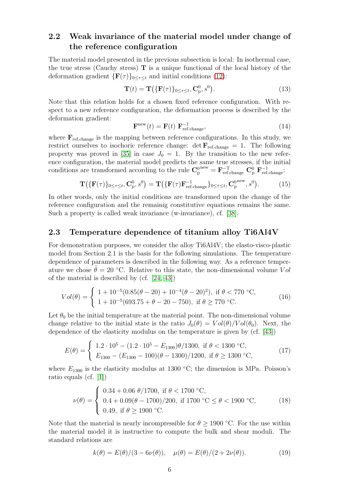### 2.2 Weak invariance of the material model under change of the reference configuration

The material model presented in the previous subsection is local: In isothermal case, the true stress (Cauchy stress)  $\bf{T}$  is a unique functional of the local history of the deformation gradient  $\{F(\tau)\}_{0\leq \tau\leq t}$  and initial conditions [\(12\)](#page-4-1):

$$
\mathbf{T}(t) = \mathbf{T}(\{\mathbf{F}(\tau)\}_{0 \le \tau \le t}, \mathbf{C}_{\mathbf{p}}^0, s^0).
$$
 (13)

Note that this relation holds for a chosen fixed reference configuration. With respect to a new reference configuration, the deformation process is described by the deformation gradient:

$$
\mathbf{F}^{\text{new}}(t) = \mathbf{F}(t) \ \mathbf{F}_{\text{ref.change}}^{-1},\tag{14}
$$

where  $\mathbf{F}_{\text{ref.change}}$  is the mapping between reference configurations. In this study, we restrict ourselves to isochoric reference change:  $\det \mathbf{F}_{\text{ref.change}} = 1$ . The following property was proved in [\[35\]](#page-18-10) in case  $J_0 = 1$ . By the transition to the new reference configuration, the material model predicts the same true stresses, if the initial conditions are transformed according to the rule  $\mathbf{C}_{\rm p}^{\rm 0\,new} = \mathbf{F}_{\rm ref. change}^{-T} \mathbf{C}_{\rm p}^{\rm 0} \mathbf{F}_{\rm ref. change}^{-1}$ .

<span id="page-5-0"></span>
$$
\mathbf{T}(\{\mathbf{F}(\tau)\}_{0\leq\tau\leq t},\mathbf{C}_{\mathrm{p}}^{0},s^{0})=\mathbf{T}(\{\mathbf{F}(\tau)\mathbf{F}_{\mathrm{ref. change}}^{-1}\}_{0\leq\tau\leq t},\mathbf{C}_{\mathrm{p}}^{\mathrm{0new}},s^{0}).
$$
 (15)

In other words, only the initial conditions are transformed upon the change of the reference configuration and the remainig constitutive equations remains the same. Such a property is called weak invariance (w-invariance), cf. [\[38\]](#page-18-4).

### 2.3 Temperature dependence of titanium alloy Ti6Al4V

For demonstration purposes, we consider the alloy Ti6Al4V; the elasto-visco-plastic model from Section 2.1 is the basis for the following simulations. The temperature dependence of parameters is described in the following way. As a reference temperature we chose  $\theta = 20$  °C. Relative to this state, the non-dimensional volume Vol of the material is described by (cf. [\[24,](#page-17-8) [43\]](#page-19-0))

$$
Vol(\theta) = \begin{cases} 1 + 10^{-5}(0.85(\theta - 20) + 10^{-4}(\theta - 20)^2), & \text{if } \theta < 770 \text{ °C}, \\ 1 + 10^{-5}(693.75 + \theta - 20 - 750), & \text{if } \theta \ge 770 \text{ °C}. \end{cases}
$$
(16)

Let  $\theta_0$  be the initial temperature at the material point. The non-dimensional volume change relative to the initial state is the ratio  $J_0(\theta) = Vol(\theta)/Vol(\theta_0)$ . Next, the dependence of the elasticity modulus on the temperature is given by (cf. [\[43\]](#page-19-0))

$$
E(\theta) = \begin{cases} 1.2 \cdot 10^5 - (1.2 \cdot 10^5 - E_{1300})\theta/1300, & \text{if } \theta < 1300 \text{ °C}, \\ E_{1300} - (E_{1300} - 100)(\theta - 1300)/1200, & \text{if } \theta \ge 1300 \text{ °C}, \end{cases}
$$
(17)

where  $E_{1300}$  is the elasticity modulus at 1300 °C; the dimension is MPa. Poisson's ratio equals (cf. [\[1\]](#page-16-3))

$$
\nu(\theta) = \begin{cases} 0.34 + 0.06 \ \theta / 1700, & \text{if } \theta < 1700 \text{ °C}, \\ 0.4 + 0.09(\theta - 1700) / 200, & \text{if } 1700 \text{ °C} \le \theta < 1900 \text{ °C}, \\ 0.49, & \text{if } \theta \ge 1900 \text{ °C}. \end{cases}
$$
(18)

Note that the material is nearly incompressible for  $\theta \geq 1900$  °C. For the use within the material model it is instructive to compute the bulk and shear moduli. The standard relations are

$$
k(\theta) = E(\theta)/(3 - 6\nu(\theta)), \quad \mu(\theta) = E(\theta)/(2 + 2\nu(\theta)).
$$
 (19)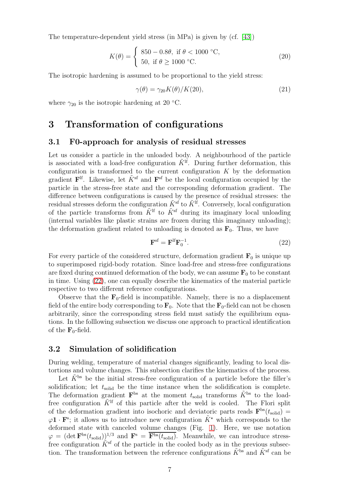The temperature-dependent yield stress (in MPa) is given by (cf. [\[43\]](#page-19-0))

$$
K(\theta) = \begin{cases} 850 - 0.8\theta, & \text{if } \theta < 1000 \text{ °C}, \\ 50, & \text{if } \theta \ge 1000 \text{ °C}. \end{cases}
$$
 (20)

The isotropic hardening is assumed to be proportional to the yield stress:

$$
\gamma(\theta) = \gamma_{20} K(\theta) / K(20),\tag{21}
$$

where  $\gamma_{20}$  is the isotropic hardening at 20 °C.

# 3 Transformation of configurations

### 3.1 F0-approach for analysis of residual stresses

Let us consider a particle in the unloaded body. A neighbourhood of the particle is associated with a load-free configuration  $\tilde{K}^{\text{lf}}$ . During further deformation, this configuration is transformed to the current configuration  $K$  by the deformation gradient  $\mathbf{F}^{\text{lf}}$ . Likewise, let  $\tilde{K}^{\text{sf}}$  and  $\mathbf{F}^{\text{sf}}$  be the local configuration occupied by the particle in the stress-free state and the corresponding deformation gradient. The difference between configurations is caused by the presence of residual stresses: the residual stresses deform the configuration  $\tilde{K}^{\tilde{sf}}$  to  $\tilde{K}^{\tilde{lf}}$ . Conversely, local configuration of the particle transforms from  $\tilde{K}^{\text{lf}}$  to  $\tilde{K}^{\text{sf}}$  during its imaginary local unloading (internal variables like plastic strains are frozen during this imaginary unloading); the deformation gradient related to unloading is denoted as  $\mathbf{F}_0$ . Thus, we have

<span id="page-6-0"></span>
$$
\mathbf{F}^{\text{sf}} = \mathbf{F}^{\text{lf}} \mathbf{F}_0^{-1}.
$$
 (22)

For every particle of the considered structure, deformation gradient  $\mathbf{F}_0$  is unique up to superimposed rigid-body rotation. Since load-free and stress-free configurations are fixed during continued deformation of the body, we can assume  $\mathbf{F}_0$  to be constant in time. Using [\(22\)](#page-6-0), one can equally describe the kinematics of the material particle respective to two different reference configurations.

Observe that the  $\mathbf{F}_0$ -field is incompatible. Namely, there is no a displacement field of the entire body corresponding to  $\mathbf{F}_0$ . Note that the  $\mathbf{F}_0$ -field can not be chosen arbitrarily, since the corresponding stress field must satisfy the equilibrium equations. In the folllowing subsection we discuss one approach to practical identification of the  $\mathbf{F}_0$ -field.

#### 3.2 Simulation of solidification

During welding, temperature of material changes significantly, leading to local distortions and volume changes. This subsection clarifies the kinematics of the process.

Let  $\tilde{K}^{bs}$  be the initial stress-free configuration of a particle before the filler's solidification; let  $t_{\text{solid}}$  be the time instance when the solidification is complete. The deformation gradient  $\mathbf{F}^{bs}$  at the moment  $t_{solid}$  transforms  $\tilde{K}^{bs}$  to the loadfree configuration  $\tilde{K}^{\text{lf}}$  of this particle after the weld is cooled. The Flori split of the deformation gradient into isochoric and deviatoric parts reads  $\mathbf{F}^{bs}(t_{solid}) =$  $\varphi$ **1** · **F**<sup>s</sup>; it allows us to introduce new configuration  $\tilde{K}^{\star}$  which corresponds to the deformed state with canceled volume changes (Fig. [1\)](#page-7-0). Here, we use notation  $\varphi = (\det \mathbf{F}^{bs}(t_{solid}))^{1/3}$  and  $\mathbf{F}^{s} = \mathbf{F}^{bs}(t_{solid})$ . Meanwhile, we can introduce stressfree configuration  $K^{\text{sf}}$  of the particle in the cooled body as in the previous subsection. The transformation between the reference configurations  $\tilde{K}^{bs}$  and  $\tilde{K}^{sf}$  can be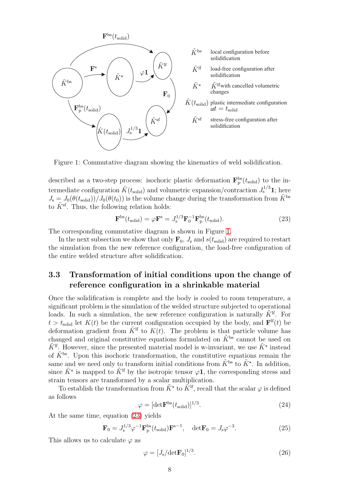

<span id="page-7-0"></span>Figure 1: Commutative diagram showing the kinematics of weld solidification.

described as a two-step process: isochoric plastic deformation  $\mathbf{F}_{\rm p}^{\rm bs}(t_{\rm solid})$  to the intermediate configuration  $\hat{K}(t_{\text{solid}})$  and volumetric expansion/contraction  $J_{\text{s}}^{1/3}$ **1**; here  $J_s = J_0(\theta(t_{\text{solid}}))/J_0(\theta(t_0))$  is the volume change during the transformation from  $\tilde{K}^{\text{bs}}$ to  $\tilde{K}^{\text{sf}}$ . Thus, the following relation holds:

<span id="page-7-1"></span>
$$
\mathbf{F}^{\text{bs}}(t_{\text{solid}}) = \varphi \mathbf{F}^{\text{s}} = J_{\text{s}}^{1/3} \mathbf{F}_{0}^{-1} \mathbf{F}_{\text{p}}^{\text{bs}}(t_{\text{solid}}). \tag{23}
$$

The corresponding commutative diagram is shown in Figure [1.](#page-7-0)

In the next subsection we show that only  $\mathbf{F}_0$ ,  $J_s$  and  $s(t_{\text{solid}})$  are required to restart the simulation from the new reference configuration, the load-free configuration of the entire welded structure after solidification.

### 3.3 Transformation of initial conditions upon the change of reference configuration in a shrinkable material

Once the solidification is complete and the body is cooled to room temperature, a significant problem is the simulation of the welded structure subjected to operational loads. In such a simulation, the new reference configuration is naturally  $\tilde{K}^{lf}$ . For  $t > t_{\text{solid}}$  let  $K(t)$  be the current configuration occupied by the body, and  $\mathbf{F}^{\text{lf}}(t)$  be deformation gradient from  $\tilde{K}^{\text{lf}}$  to  $K(t)$ . The problem is that particle volume has changed and original constitutive equations formulated on  $\tilde{K}^{bs}$  cannot be used on  $\tilde{K}^{\text{lf}}$ . However, since the presented material model is w-invariant, we use  $\tilde{K}^{\star}$  instead of  $\tilde{K}^{\text{bs}}$ . Upon this isochoric transformation, the constitutive equations remain the same and we need only to transform initial conditions from  $\tilde{K}^{\text{bs}}$  to  $\tilde{K}^{\star}$ . In addition, since  $\tilde{K}^{\star}$  is mapped to  $\tilde{K}^{\text{lf}}$  by the isotropic tensor  $\varphi \mathbf{1}$ , the corresponding stress and strain tensors are transformed by a scalar multiplication.

To establish the transformation from  $\tilde{K}^*$  to  $\tilde{K}^{\text{lf}}$ , recall that the scalar  $\varphi$  is defined as follows

$$
\varphi = [\det \mathbf{F}^{\text{bs}}(t_{\text{solid}})]^{1/3}.
$$
\n(24)

At the same time, equation [\(23\)](#page-7-1) yields

$$
\mathbf{F}_0 = J_s^{1/3} \varphi^{-1} \mathbf{F}_p^{\text{bs}}(t_{\text{solid}}) \mathbf{F}^{\text{s}-1}, \quad \text{det} \mathbf{F}_0 = J_s \varphi^{-3}.
$$
 (25)

This allows us to calculate  $\varphi$  as

$$
\varphi = [J_s/\text{det}\mathbf{F}_0]^{1/3}.\tag{26}
$$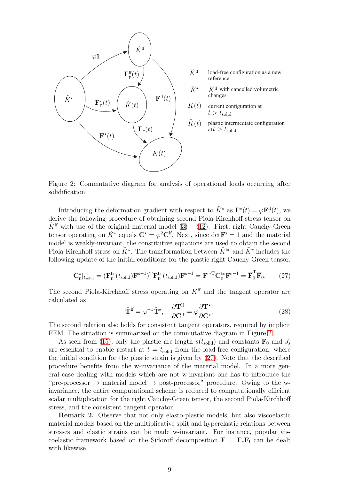

- load-free configuration as a new reference
- $\tilde{K}$ <sup>If</sup> with cancelled volumetric changes
- current configuration at  $t > t_{\rm solid}$
- plastic intermediate configuration  $\det t > t_{\text{solid}}$

<span id="page-8-0"></span>Figure 2: Commutative diagram for analysis of operational loads occurring after solidification.

Introducing the deformation gradient with respect to  $\tilde{K}^*$  as  $\mathbf{F}^*(t) = \varphi \mathbf{F}^{\text{lf}}(t)$ , we derive the following procedure of obtaining second Piola-Kirchhoff stress tensor on  $\tilde{K}^{\text{lf}}$  with use of the original material model [\(3\)](#page-3-0) – [\(12\)](#page-4-1). First, right Cauchy-Green tensor operating on  $\tilde{K}^*$  equals  $\mathbf{C}^* = \varphi^2 \mathbf{C}^{\text{lf}}$ . Next, since  $\det \mathbf{F}^{\text{s}} = 1$  and the material model is weakly-invariant, the constitutive equations are used to obtain the second Piola-Kirchhoff stress on  $\tilde{K}^*$ : The transformation between  $\tilde{K}^{\text{bs}}$  and  $\tilde{K}^*$  includes the following update of the initial conditions for the plastic right Cauchy-Green tensor:

<span id="page-8-1"></span>
$$
\mathbf{C}_{\rm p}^{\star}|_{t_{\rm solid}} = (\mathbf{F}_{\rm p}^{\rm bs}(t_{\rm solid})\mathbf{F}^{\rm s-1})^{\rm T}\mathbf{F}_{\rm p}^{\rm bs}(t_{\rm solid})\mathbf{F}^{\rm s-1} = \mathbf{F}^{\rm s-T}\mathbf{C}_{\rm p}^{\rm bs}\mathbf{F}^{\rm s-1} = \overline{\mathbf{F}}_{\rm 0}^{\rm T}\overline{\mathbf{F}}_{\rm 0}. \tag{27}
$$

The second Piola-Kirchhoff stress operating on  $\tilde{K}^{\text{lf}}$  and the tangent operator are calculated as

<span id="page-8-2"></span>
$$
\tilde{\mathbf{T}}^{\mathrm{lf}} = \varphi^{-1} \tilde{\mathbf{T}}^{\star}, \quad \frac{\partial \tilde{\mathbf{T}}^{\mathrm{lf}}}{\partial \mathbf{C}^{\mathrm{lf}}} = \varphi \frac{\partial \tilde{\mathbf{T}}^{\star}}{\partial \mathbf{C}^{\star}}.
$$
\n(28)

The second relation also holds for consistent tangent operators, required by implicit FEM. The situation is summarized on the commutative diagram in Figure [2.](#page-8-0)

As seen from [\(15\)](#page-5-0), only the plastic arc-length  $s(t_{\text{solid}})$  and constants  $\mathbf{F}_0$  and  $J_s$ are essential to enable restart at  $t = t_{solid}$  from the load-free configuration, where the initial condition for the plastic strain is given by [\(27\)](#page-8-1). Note that the described procedure benefits from the w-invariance of the material model. In a more general case dealing with models which are not w-invariant one has to introduce the "pre-processor  $\rightarrow$  material model  $\rightarrow$  post-processor" procedure. Owing to the winvariance, the entire computational scheme is reduced to computationally efficient scalar multiplication for the right Cauchy-Green tensor, the second Piola-Kirchhoff stress, and the consistent tangent operator.

Remark 2. Observe that not only elasto-plastic models, but also viscoelastic material models based on the multiplicative split and hyperelastic relations between stresses and elastic strains can be made w-invariant. For instance, popular viscoelastic framework based on the Sidoroff decomposition  $\mathbf{F} = \mathbf{F}_e \mathbf{F}_i$  can be dealt with likewise.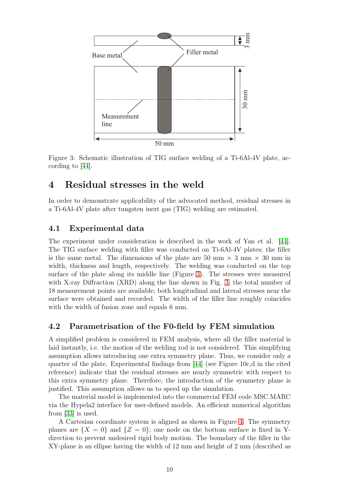

<span id="page-9-0"></span>Figure 3: Schematic illustration of TIG surface welding of a Ti-6Al-4V plate, according to [\[44\]](#page-19-1).

# 4 Residual stresses in the weld

In order to demonstrate applicability of the advocated method, residual stresses in a Ti-6Al-4V plate after tungsten inert gas (TIG) welding are estimated.

### 4.1 Experimental data

The experiment under consideration is described in the work of Yan et al. [\[44\]](#page-19-1). The TIG surface welding with filler was conducted on Ti-6Al-4V plates; the filler is the same metal. The dimensions of the plate are 50 mm  $\times$  3 mm  $\times$  30 mm in width, thickness and length, respectively. The welding was conducted on the top surface of the plate along its middle line (Figure [3\)](#page-9-0). The stresses were measured with X-ray Diffraction (XRD) along the line shown in Fig. [3;](#page-9-0) the total number of 18 measurement points are available; both longitudinal and lateral stresses near the surface were obtained and recorded. The width of the filler line roughly coincides with the width of fusion zone and equals 6 mm.

### 4.2 Parametrisation of the F0-field by FEM simulation

A simplified problem is considered in FEM analysis, where all the filler material is laid instantly, i.e. the motion of the welding rod is not considered. This simplifying assumption allows introducing one extra symmetry plane. Thus, we consider only a quarter of the plate. Experimental findings from [\[44\]](#page-19-1) (see Figure 10c,d in the cited reference) indicate that the residual stresses are nearly symmetric with respect to this extra symmetry plane. Therefore, the introduction of the symmetry plane is justified. This assumption allows us to speed up the simulation.

The material model is implemented into the commercial FEM code MSC.MARC via the Hypela2 interface for user-defined models. An efficient numerical algorithm from [\[33\]](#page-18-5) is used.

A Cartesian coordinate system is aligned as shown in Figure [4.](#page-10-0) The symmetry planes are  $\{X = 0\}$  and  $\{Z = 0\}$ ; one node on the bottom surface is fixed in Ydirection to prevent undesired rigid body motion. The boundary of the filler in the XY-plane is an ellipse having the width of 12 mm and height of 2 mm (described as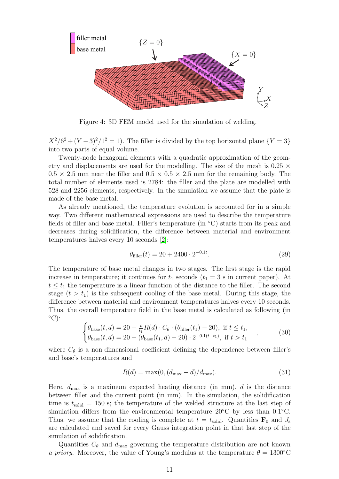

<span id="page-10-0"></span>Figure 4: 3D FEM model used for the simulation of welding.

 $X^2/6^2 + (Y-3)^2/1^2 = 1$ ). The filler is divided by the top horizontal plane  $\{Y = 3\}$ into two parts of equal volume.

Twenty-node hexagonal elements with a quadratic approximation of the geometry and displacements are used for the modelling. The size of the mesh is  $0.25 \times$  $0.5 \times 2.5$  mm near the filler and  $0.5 \times 0.5 \times 2.5$  mm for the remaining body. The total number of elements used is 2784: the filler and the plate are modelled with 528 and 2256 elements, respectively. In the simulation we assume that the plate is made of the base metal.

As already mentioned, the temperature evolution is accounted for in a simple way. Two different mathematical expressions are used to describe the temperature fields of filler and base metal. Filler's temperature (in ◦C) starts from its peak and decreases during solidification, the difference between material and environment temperatures halves every 10 seconds [\[2\]](#page-16-8):

$$
\theta_{\text{filler}}(t) = 20 + 2400 \cdot 2^{-0.1t}.\tag{29}
$$

The temperature of base metal changes in two stages. The first stage is the rapid increase in temperature; it continues for  $t_1$  seconds  $(t_1 = 3 \text{ s in current paper}).$  At  $t \leq t_1$  the temperature is a linear function of the distance to the filler. The second stage  $(t > t_1)$  is the subsequent cooling of the base metal. During this stage, the difference between material and environment temperatures halves every 10 seconds. Thus, the overall temperature field in the base metal is calculated as following (in  $\mathrm{^{\circ}C})$ :

$$
\begin{cases} \theta_{\text{base}}(t,d) = 20 + \frac{t}{t_1} R(d) \cdot C_{\theta} \cdot (\theta_{\text{filler}}(t_1) - 20), \text{ if } t \le t_1, \\ \theta_{\text{base}}(t,d) = 20 + (\theta_{\text{base}}(t_1,d) - 20) \cdot 2^{-0.1(t-t_1)}, \text{ if } t > t_1 \end{cases} , \tag{30}
$$

where  $C_{\theta}$  is a non-dimensional coefficient defining the dependence between filler's and base's temperatures and

$$
R(d) = \max(0, (d_{\max} - d)/d_{\max}).
$$
\n(31)

Here,  $d_{\text{max}}$  is a maximum expected heating distance (in mm), d is the distance between filler and the current point (in mm). In the simulation, the solidification time is  $t_{\rm solid} = 150$  s; the temperature of the welded structure at the last step of simulation differs from the environmental temperature  $20^{\circ}$ C by less than 0.1 $^{\circ}$ C. Thus, we assume that the cooling is complete at  $t = t_{\text{solid}}$ . Quantities  $\mathbf{F}_0$  and  $J_s$ are calculated and saved for every Gauss integration point in that last step of the simulation of solidification.

Quantities  $C_{\theta}$  and  $d_{\text{max}}$  governing the temperature distribution are not known a priory. Moreover, the value of Young's modulus at the temperature  $\theta = 1300^{\circ}$ C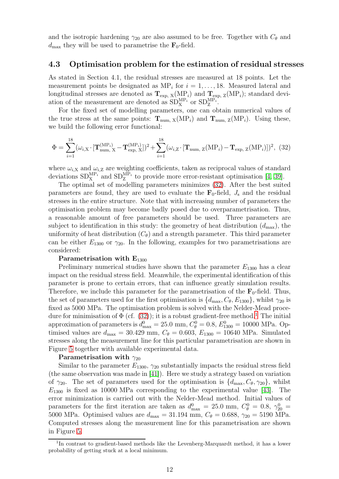and the isotropic hardening  $\gamma_{20}$  are also assumed to be free. Together with  $C_{\theta}$  and  $d_{\text{max}}$  they will be used to parametrise the  $\mathbf{F}_0$ -field.

### 4.3 Optimisation problem for the estimation of residual stresses

As stated in Section 4.1, the residual stresses are measured at 18 points. Let the measurement points be designated as  $MP_i$  for  $i = 1, ..., 18$ . Measured lateral and longitudinal stresses are denoted as  $T_{\text{exp, X}}(\text{MP}_i)$  and  $T_{\text{exp, Z}}(\text{MP}_i)$ ; standard deviation of the measurement are denoted as  $SD_X^{MP_i}$  or  $SD_Z^{MP_i}$ .

For the fixed set of modelling parameters, one can obtain numerical values of the true stress at the same points:  $T_{num, X}(MP_i)$  and  $T_{num, Z}(MP_i)$ . Using these, we build the following error functional:

<span id="page-11-0"></span>
$$
\Phi = \sum_{i=1}^{18} (\omega_{i,X} \cdot [\mathbf{T}_{num, X}^{(MP_i)} - \mathbf{T}_{exp, X}^{(MP_i)}])^2 + \sum_{i=1}^{18} (\omega_{i,Z} \cdot [\mathbf{T}_{num, Z}(MP_i) - \mathbf{T}_{exp, Z}(MP_i)])^2, (32)
$$

where  $\omega_{i,X}$  and  $\omega_{i,Z}$  are weighting coefficients, taken as reciprocal values of standard deviations  $SD_X^{\text{MP}_i}$  and  $SD_Z^{\text{MP}_i}$  to provide more error-resistant optimisation [\[4,](#page-16-9) [39\]](#page-18-11).

The optimal set of modelling parameters minimizes [\(32\)](#page-11-0). After the best suited parameters are found, they are used to evaluate the  $\mathbf{F}_0$ -field,  $J_s$  and the residual stresses in the entire structure. Note that with increasing number of parameters the optimisation problem may become badly posed due to overparametrisation. Thus, a reasonable amount of free parameters should be used. Three parameters are subject to identification in this study: the geometry of heat distribution  $(d_{\text{max}})$ , the uniformity of heat distribution  $(C_{\theta})$  and a strength parameter. This third parameter can be either  $E_{1300}$  or  $\gamma_{20}$ . In the following, examples for two parametrisations are considered:

#### Parametrisation with  $E_{1300}$

Preliminary numerical studies have shown that the parameter  $E_{1300}$  has a clear impact on the residual stress field. Meanwhile, the experimental identification of this parameter is prone to certain errors, that can influence greatly simulation results. Therefore, we include this parameter for the parametrisation of the  $\mathbf{F}_0$ -field. Thus, the set of parameters used for the first optimisation is  $\{d_{\text{max}}, C_{\theta}, E_{1300}\}\,$ , whilst  $\gamma_{20}$  is fixed as 5000 MPa. The optimisation problem is solved with the Nelder-Mead procedure for minimisation of  $\Phi$  (cf. [\(32\)](#page-11-0)); it is a robust gradient-free method.<sup>[1](#page-11-1)</sup> The initial approximation of parameters is  $d_{\text{max}}^0 = 25.0 \text{ mm}$ ,  $C_{\theta}^0 = 0.8$ ,  $E_{1300}^0 = 10000 \text{ MPa}$ . Optimised values are  $d_{\text{max}} = 30.429 \text{ mm}$ ,  $C_{\theta} = 0.603$ ,  $E_{1300} = 10640 \text{ MPa}$ . Simulated stresses along the measurement line for this particular parametrisation are shown in Figure [5](#page-12-0) together with available experimental data.

### Parametrisation with  $\gamma_{20}$

Similar to the parameter  $E_{1300}$ ,  $\gamma_{20}$  substantially impacts the residual stress field (the same observation was made in [\[41\]](#page-19-2)). Here we study a strategy based on variation of  $\gamma_{20}$ . The set of parameters used for the optimisation is  $\{d_{\text{max}}, C_{\theta}, \gamma_{20}\}\$ , whilst  $E_{1300}$  is fixed as 10000 MPa corresponding to the experimental value [\[43\]](#page-19-0). The error minimization is carried out with the Nelder-Mead method. Initial values of parameters for the first iteration are taken as  $d_{\text{max}}^0 = 25.0 \text{ mm}$ ,  $C_{\theta}^0 = 0.8$ ,  $\gamma_{20}^0 =$ 5000 MPa. Optimised values are  $d_{\text{max}} = 31.194 \text{ mm}$ ,  $C_{\theta} = 0.688$ ,  $\gamma_{20} = 5190 \text{ MPa}$ . Computed stresses along the measurement line for this parametrisation are shown in Figure [5.](#page-12-0)

<span id="page-11-1"></span><sup>&</sup>lt;sup>1</sup>In contrast to gradient-based methods like the Levenberg-Marquardt method, it has a lower probability of getting stuck at a local minimum.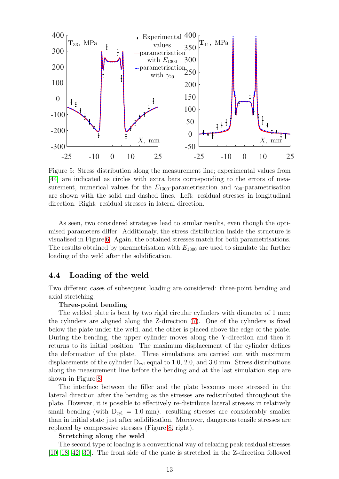

<span id="page-12-0"></span>Figure 5: Stress distribution along the measurement line; experimental values from [\[44\]](#page-19-1) are indicated as circles with extra bars corresponding to the errors of measurement, numerical values for the  $E_{1300}$ -parametrisation and  $\gamma_{20}$ -parametrisation are shown with the solid and dashed lines. Left: residual stresses in longitudinal direction. Right: residual stresses in lateral direction.

As seen, two considered strategies lead to similar results, even though the optimised parameters differ. Additionaly, the stress distribution inside the structure is visualised in Figure [6.](#page-13-0) Again, the obtained stresses match for both parametrisations. The results obtained by parametrisation with  $E_{1300}$  are used to simulate the further loading of the weld after the solidification.

### 4.4 Loading of the weld

Two different cases of subsequent loading are considered: three-point bending and axial stretching.

#### Three-point bending

The welded plate is bent by two rigid circular cylinders with diameter of 1 mm; the cylinders are aligned along the Z-direction [\(7\)](#page-13-1). One of the cylinders is fixed below the plate under the weld, and the other is placed above the edge of the plate. During the bending, the upper cylinder moves along the Y-direction and then it returns to its initial position. The maximum displacement of the cylinder defines the deformation of the plate. Three simulations are carried out with maximum displacements of the cylinder  $D_{cyl}$  equal to 1.0, 2.0, and 3.0 mm. Stress distributions along the measurement line before the bending and at the last simulation step are shown in Figure [8.](#page-13-2)

The interface between the filler and the plate becomes more stressed in the lateral direction after the bending as the stresses are redistributed throughout the plate. However, it is possible to effectively re-distribute lateral stresses in relatively small bending (with  $D_{\text{cyl}} = 1.0 \text{ mm}$ ): resulting stresses are considerably smaller than in initial state just after solidification. Moreover, dangerous tensile stresses are replaced by compressive stresses (Figure [8,](#page-13-2) right).

#### Stretching along the weld

The second type of loading is a conventional way of relaxing peak residual stresses [\[10,](#page-16-10) [18,](#page-17-9) [42,](#page-19-3) [30\]](#page-18-12). The front side of the plate is stretched in the Z-direction followed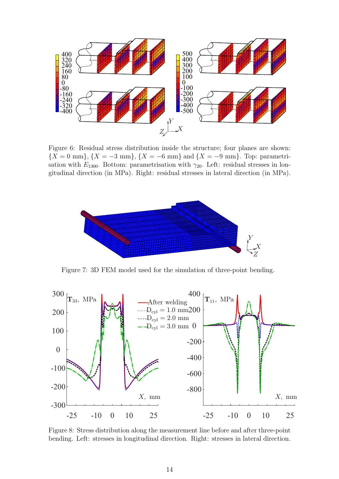

<span id="page-13-0"></span>Figure 6: Residual stress distribution inside the structure; four planes are shown:  ${X = 0 \text{ mm}, X = -3 \text{ mm}, X = -6 \text{ mm}}$  and  ${X = -9 \text{ mm}}$ . Top: parametrisation with  $E_{1300}$ . Bottom: parametrisation with  $\gamma_{20}$ . Left: residual stresses in longitudinal direction (in MPa). Right: residual stresses in lateral direction (in MPa).



<span id="page-13-1"></span>Figure 7: 3D FEM model used for the simulation of three-point bending.



<span id="page-13-2"></span>Figure 8: Stress distribution along the measurement line before and after three-point bending. Left: stresses in longitudinal direction. Right: stresses in lateral direction.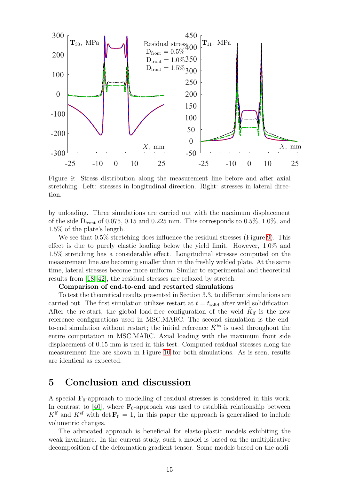

<span id="page-14-0"></span>Figure 9: Stress distribution along the measurement line before and after axial stretching. Left: stresses in longitudinal direction. Right: stresses in lateral direction.

by unloading. Three simulations are carried out with the maximum displacement of the side  $D_{front}$  of 0.075, 0.15 and 0.225 mm. This corresponds to 0.5%, 1.0%, and 1.5% of the plate's length.

We see that  $0.5\%$  stretching does influence the residual stresses (Figure [9\)](#page-14-0). This effect is due to purely elastic loading below the yield limit. However, 1.0% and 1.5% stretching has a considerable effect. Longitudinal stresses computed on the measurement line are becoming smaller than in the freshly welded plate. At the same time, lateral stresses become more uniform. Similar to experimental and theoretical results from [\[18,](#page-17-9) [42\]](#page-19-3), the residual stresses are relaxed by stretch.

#### Comparison of end-to-end and restarted simulations

To test the theoretical results presented in Section 3.3, to different simulations are carried out. The first simulation utilizes restart at  $t = t_{\text{solid}}$  after weld solidification. After the re-start, the global load-free configuration of the weld  $\tilde{K}_{\text{lf}}$  is the new reference configurations used in MSC.MARC. The second simulation is the endto-end simulation without restart; the initial reference  $\tilde{K}^{bs}$  is used throughout the entire computation in MSC.MARC. Axial loading with the maximum front side displacement of 0.15 mm is used in this test. Computed residual stresses along the measurement line are shown in Figure [10](#page-15-0) for both simulations. As is seen, results are identical as expected.

### 5 Conclusion and discussion

A special  $\mathbf{F}_0$ -approach to modelling of residual stresses is considered in this work. In contrast to [\[40\]](#page-18-2), where  $\mathbf{F}_0$ -approach was used to establish relationship between  $K<sup>H</sup>$  and  $K<sup>sf</sup>$  with det  $\mathbf{F}_0 = 1$ , in this paper the approach is generalised to include volumetric changes.

The advocated approach is beneficial for elasto-plastic models exhibiting the weak invariance. In the current study, such a model is based on the multiplicative decomposition of the deformation gradient tensor. Some models based on the addi-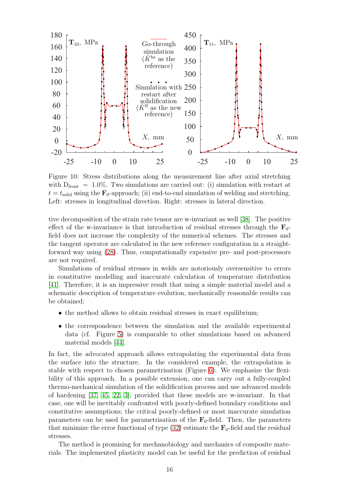

<span id="page-15-0"></span>Figure 10: Stress distributions along the measurement line after axial stretching with  $D_{front} = 1.0\%$ . Two simulations are carried out: (i) simulation with restart at  $t = t_{\text{solid}}$  using the  $\mathbf{F}_0$ -approach; (ii) end-to-end simulation of welding and stretching. Left: stresses in longitudinal direction. Right: stresses in lateral direction.

tive decomposition of the strain rate tensor are w-invariant as well [\[38\]](#page-18-4). The positive effect of the w-invariance is that introduction of residual stresses through the  $\mathbf{F}_0$ field does not increase the complexity of the numerical schemes. The stresses and the tangent operator are calculated in the new reference configuration in a straightforward way using [\(28\)](#page-8-2). Thus, computationally expensive pre- and post-processors are not required.

Simulations of residual stresses in welds are notoriously oversensitive to errors in constitutive modelling and inaccurate calculation of temperature distribution [\[41\]](#page-19-2). Therefore, it is an impressive result that using a simple material model and a schematic description of temperature evolution, mechanically reasonable results can be obtained:

- the method allows to obtain residual stresses in exact equilibrium;
- the correspondence between the simulation and the available experimental data (cf. Figure [5\)](#page-12-0) is comparable to other simulations based on advanced material models [\[44\]](#page-19-1).

In fact, the advocated approach allows extrapolating the experimental data from the surface into the structure. In the considered example, the extrapolation is stable with respect to chosen parametrisation (Figure [6\)](#page-13-0). We emphasize the flexibility of this approach. In a possible extension, one can carry out a fully-coupled thermo-mechanical simulation of the solidification process and use advanced models of hardening [\[37,](#page-18-13) [45,](#page-19-4) [22,](#page-17-10) [3\]](#page-16-11), provided that these models are w-invariant. In that case, one will be inevitably confronted with poorly-defined boundary conditions and constitutive assumptions; the critical poorly-defined or most inaccurate simulation parameters can be used for parametrisation of the  $\mathbf{F}_0$ -field. Then, the parameters that minimize the error functional of type  $(32)$  estimate the  $\mathbf{F}_0$ -field and the residual stresses.

The method is promising for mechanobiology and mechanics of composite materials. The implemented plasticity model can be useful for the prediction of residual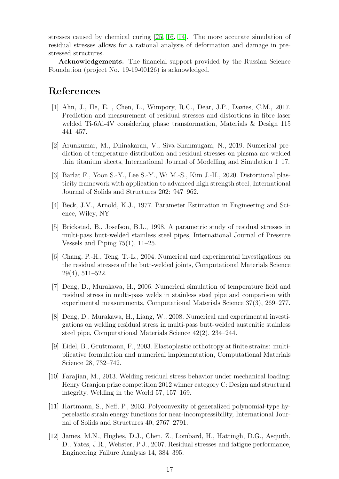stresses caused by chemical curing [\[25,](#page-17-11) [16,](#page-17-12) [14\]](#page-17-13). The more accurate simulation of residual stresses allows for a rational analysis of deformation and damage in prestressed structures.

Acknowledgements. The financial support provided by the Russian Science Foundation (project No. 19-19-00126) is acknowledged.

## <span id="page-16-3"></span>References

- [1] Ahn, J., He, E. , Chen, L., Wimpory, R.C., Dear, J.P., Davies, C.M., 2017. Prediction and measurement of residual stresses and distortions in fibre laser welded Ti-6Al-4V considering phase transformation, Materials & Design 115 441–457.
- <span id="page-16-8"></span>[2] Arunkumar, M., Dhinakaran, V., Siva Shanmugam, N., 2019. Numerical prediction of temperature distribution and residual stresses on plasma arc welded thin titanium sheets, International Journal of Modelling and Simulation 1–17.
- <span id="page-16-11"></span>[3] Barlat F., Yoon S.-Y., Lee S.-Y., Wi M.-S., Kim J.-H., 2020. Distortional plasticity framework with application to advanced high strength steel, International Journal of Solids and Structures 202: 947–962.
- <span id="page-16-9"></span><span id="page-16-1"></span>[4] Beck, J.V., Arnold, K.J., 1977. Parameter Estimation in Engineering and Science, Wiley, NY
- [5] Brickstad, B., Josefson, B.L., 1998. A parametric study of residual stresses in multi-pass butt-welded stainless steel pipes, International Journal of Pressure Vessels and Piping 75(1), 11–25.
- <span id="page-16-2"></span>[6] Chang, P.-H., Teng, T.-L., 2004. Numerical and experimental investigations on the residual stresses of the butt-welded joints, Computational Materials Science 29(4), 511–522.
- <span id="page-16-4"></span>[7] Deng, D., Murakawa, H., 2006. Numerical simulation of temperature field and residual stress in multi-pass welds in stainless steel pipe and comparison with experimental measurements, Computational Materials Science 37(3), 269–277.
- <span id="page-16-5"></span>[8] Deng, D., Murakawa, H., Liang, W., 2008. Numerical and experimental investigations on welding residual stress in multi-pass butt-welded austenitic stainless steel pipe, Computational Materials Science 42(2), 234–244.
- <span id="page-16-7"></span>[9] Eidel, B., Gruttmann, F., 2003. Elastoplastic orthotropy at finite strains: multiplicative formulation and numerical implementation, Computational Materials Science 28, 732–742.
- <span id="page-16-10"></span>[10] Farajian, M., 2013. Welding residual stress behavior under mechanical loading: Henry Granjon prize competition 2012 winner category C: Design and structural integrity, Welding in the World 57, 157–169.
- <span id="page-16-6"></span>[11] Hartmann, S., Neff, P., 2003. Polyconvexity of generalized polynomial-type hyperelastic strain energy functions for near-incompressibility, International Journal of Solids and Structures 40, 2767–2791.
- <span id="page-16-0"></span>[12] James, M.N., Hughes, D.J., Chen, Z., Lombard, H., Hattingh, D.G., Asquith, D., Yates, J.R., Webster, P.J., 2007. Residual stresses and fatigue performance, Engineering Failure Analysis 14, 384–395.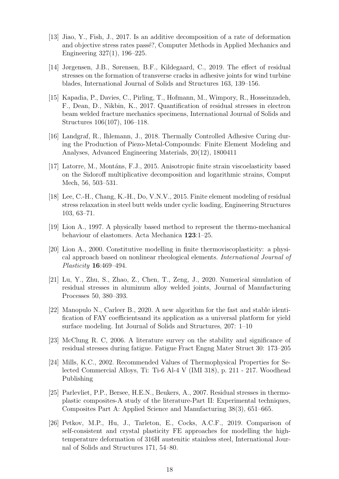- <span id="page-17-3"></span>[13] Jiao, Y., Fish, J., 2017. Is an additive decomposition of a rate of deformation and objective stress rates passé?, Computer Methods in Applied Mechanics and Engineering 327(1), 196–225.
- <span id="page-17-13"></span>[14] Jørgensen, J.B., Sørensen, B.F., Kildegaard, C., 2019. The effect of residual stresses on the formation of transverse cracks in adhesive joints for wind turbine blades, International Journal of Solids and Structures 163, 139–156.
- <span id="page-17-4"></span>[15] Kapadia, P., Davies, C., Pirling, T., Hofmann, M., Wimpory, R., Hosseinzadeh, F., Dean, D., Nikbin, K., 2017. Quantification of residual stresses in electron beam welded fracture mechanics specimens, International Journal of Solids and Structures 106(107), 106–118.
- <span id="page-17-12"></span>[16] Landgraf, R., Ihlemann, J., 2018. Thermally Controlled Adhesive Curing during the Production of Piezo-Metal-Compounds: Finite Element Modeling and Analyses, Advanced Engineering Materials, 20(12), 1800411
- <span id="page-17-7"></span>[17] Latorre, M., Montáns, F.J., 2015. Anisotropic finite strain viscoelasticity based on the Sidoroff multiplicative decomposition and logarithmic strains, Comput Mech, 56, 503–531.
- <span id="page-17-9"></span>[18] Lee, C.-H., Chang, K.-H., Do, V.N.V., 2015. Finite element modeling of residual stress relaxation in steel butt welds under cyclic loading, Engineering Structures 103, 63–71.
- <span id="page-17-6"></span><span id="page-17-5"></span>[19] Lion A., 1997. A physically based method to represent the thermo-mechanical behaviour of elastomers. Acta Mechanica 123:1–25.
- [20] Lion A., 2000. Constitutive modelling in finite thermoviscoplasticity: a physical approach based on nonlinear rheological elements. International Journal of Plasticity 16:469–494.
- <span id="page-17-2"></span>[21] Lu, Y., Zhu, S., Zhao, Z., Chen, T., Zeng, J., 2020. Numerical simulation of residual stresses in aluminum alloy welded joints, Journal of Manufacturing Processes 50, 380–393.
- <span id="page-17-10"></span>[22] Manopulo N., Carleer B., 2020. A new algorithm for the fast and stable identification of FAY coefficientsand its application as a universal platform for yield surface modeling. Int Journal of Solids and Structures, 207: 1–10
- <span id="page-17-8"></span><span id="page-17-0"></span>[23] McClung R. C, 2006. A literature survey on the stability and significance of residual stresses during fatigue. Fatigue Fract Engng Mater Struct 30: 173–205
- [24] Mills, K.C., 2002. Recommended Values of Thermophysical Properties for Selected Commercial Alloys, Ti: Ti-6 Al-4 V (IMI 318), p. 211 - 217. Woodhead Publishing
- <span id="page-17-11"></span>[25] Parlevliet, P.P., Bersee, H.E.N., Beukers, A., 2007. Residual stresses in thermoplastic composites-A study of the literature-Part II: Experimental techniques, Composites Part A: Applied Science and Manufacturing 38(3), 651–665.
- <span id="page-17-1"></span>[26] Petkov, M.P., Hu, J., Tarleton, E., Cocks, A.C.F., 2019. Comparison of self-consistent and crystal plasticity FE approaches for modelling the hightemperature deformation of 316H austenitic stainless steel, International Journal of Solids and Structures 171, 54–80.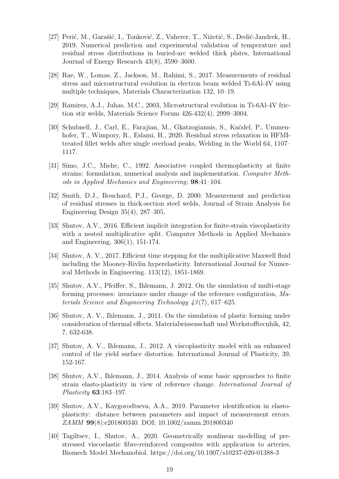- <span id="page-18-8"></span>[27] Perić, M., Garašić, I., Tonković, Z., Vuherer, T., Nižetić, S., Dedić-Jandrek, H., 2019. Numerical prediction and experimental validation of temperature and residual stress distributions in buried-arc welded thick plates, International Journal of Energy Research 43(8), 3590–3600.
- <span id="page-18-0"></span>[28] Rae, W., Lomas, Z., Jackson, M., Rahimi, S., 2017. Measurements of residual stress and microstructural evolution in electron beam welded Ti-6Al-4V using multiple techniques, Materials Characterization 132, 10–19.
- <span id="page-18-12"></span><span id="page-18-1"></span>[29] Ramirez, A.J., Juhas, M.C., 2003, Microstructural evolution in Ti-6Al-4V friction stir welds, Materials Science Forum 426-432(4), 2999–3004.
- [30] Schubnell, J., Carl, E., Farajian, M., Gkatzogiannis, S., Knödel, P., Ummenhofer, T., Wimpory, R., Eslami, H., 2020. Residual stress relaxation in HFMItreated fillet welds after single overload peaks, Welding in the World 64, 1107– 1117.
- <span id="page-18-3"></span>[31] Simo, J.C., Miehe, C., 1992. Associative coupled thermoplasticity at finite strains: formulation, numerical analysis and implementation. Computer Methods in Applied Mechanics and Engineering; 98:41–104.
- <span id="page-18-7"></span>[32] Smith, D.J., Bouchard, P.J., George, D. 2000. Measurement and prediction of residual stresses in thick-section steel welds, Journal of Strain Analysis for Engineering Design 35(4), 287–305.
- <span id="page-18-5"></span>[33] Shutov, A.V., 2016. Efficient implicit integration for finite-strain viscoplasticity with a nested multiplicative split. Computer Methods in Applied Mechanics and Engineering, 306(1), 151-174.
- <span id="page-18-6"></span>[34] Shutov, A. V., 2017. Efficient time stepping for the multiplicative Maxwell fluid including the Mooney-Rivlin hyperelasticity. International Journal for Numerical Methods in Engineering. 113(12), 1851-1869.
- <span id="page-18-10"></span>[35] Shutov, A.V., Pfeiffer, S., Ihlemann, J. 2012. On the simulation of multi-stage forming processes: invariance under change of the reference configuration, Materials Science and Engineering Technology 43 (7), 617–625.
- <span id="page-18-9"></span>[36] Shutov, A. V., Ihlemann, J., 2011. On the simulation of plastic forming under consideration of thermal effects. Materialwissenschaft und Werkstofftecnhik, 42, 7, 632-638.
- <span id="page-18-13"></span>[37] Shutov, A. V., Ihlemann, J., 2012. A viscoplasticity model with an enhanced control of the yield surface distortion. International Journal of Plasticity, 39, 152-167.
- <span id="page-18-4"></span>[38] Shutov, A.V., Ihlemann, J., 2014. Analysis of some basic approaches to finite strain elasto-plasticity in view of reference change. International Journal of Plasticity 63:183–197.
- <span id="page-18-11"></span>[39] Shutov, A.V., Kaygorodtseva, A.A., 2019. Parameter identification in elastoplasticity: distance between parameters and impact of measurement errors. ZAMM 99(8):e201800340. DOI: 10.1002/zamm.201800340
- <span id="page-18-2"></span>[40] Tagiltsev, I., Shutov, A., 2020. Geometrically nonlinear modelling of prestressed viscoelastic fibre-reinforced composites with application to arteries, Biomech Model Mechanobiol. https://doi.org/10.1007/s10237-020-01388-3